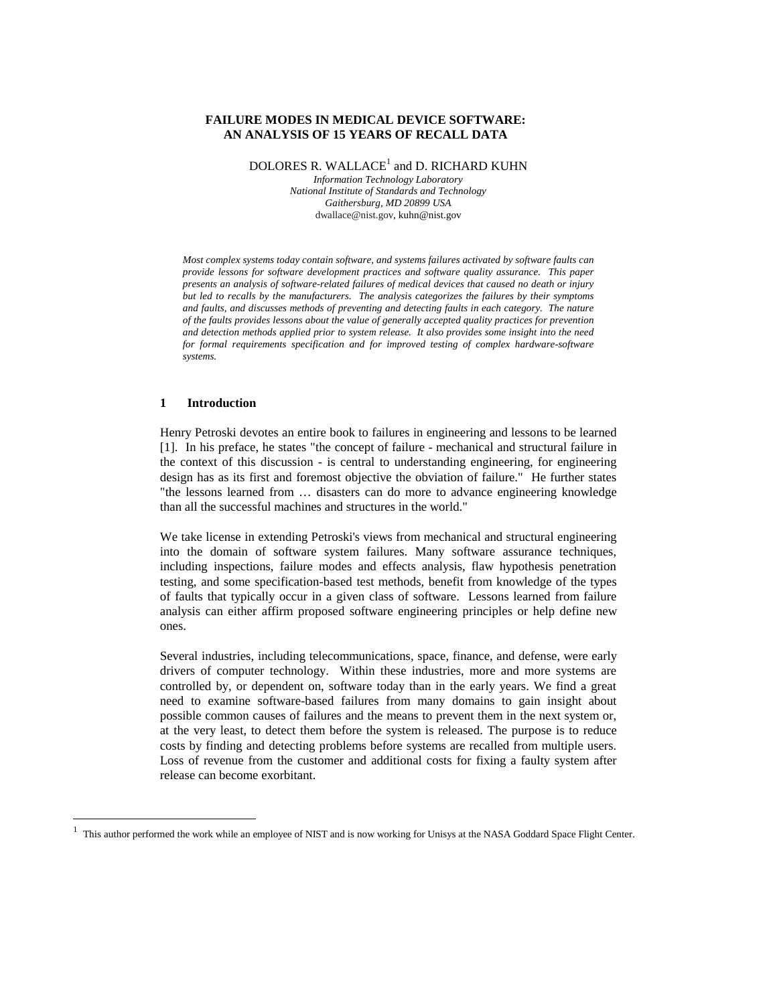### **FAILURE MODES IN MEDICAL DEVICE SOFTWARE: AN ANALYSIS OF 15 YEARS OF RECALL DATA**

DOLORES R. WALLACE<sup>1</sup> and D. RICHARD KUHN

*Information Technology Laboratory National Institute of Standards and Technology Gaithersburg, MD 20899 USA* dwallace@nist.gov, kuhn@nist.gov

 *provide lessons for software development practices and software quality assurance. This paper presents an analysis of software-related failures of medical devices that caused no death or injury but led to recalls by the manufacturers. The analysis categorizes the failures by their symptoms of the faults provides lessons about the value of generally accepted quality practices for prevention Most complex systems today contain software, and systems failures activated by software faults can and faults, and discusses methods of preventing and detecting faults in each category. The nature and detection methods applied prior to system release. It also provides some insight into the need*  for formal requirements specification and for improved testing of complex hardware-software *systems.* 

### **1 Introduction**

-

 Henry Petroski devotes an entire book to failures in engineering and lessons to be learned [1]. In his preface, he states "the concept of failure - mechanical and structural failure in "the lessons learned from … disasters can do more to advance engineering knowledge the context of this discussion - is central to understanding engineering, for engineering design has as its first and foremost objective the obviation of failure." He further states

 than all the successful machines and structures in the world." We take license in extending Petroski's views from mechanical and structural engineering testing, and some specification-based test methods, benefit from knowledge of the types of faults that typically occur in a given class of software. Lessons learned from failure analysis can either affirm proposed software engineering principles or help define new into the domain of software system failures. Many software assurance techniques, including inspections, failure modes and effects analysis, flaw hypothesis penetration ones.

 need to examine software-based failures from many domains to gain insight about possible common causes of failures and the means to prevent them in the next system or, costs by finding and detecting problems before systems are recalled from multiple users. Loss of revenue from the customer and additional costs for fixing a faulty system after Several industries, including telecommunications, space, finance, and defense, were early drivers of computer technology. Within these industries, more and more systems are controlled by, or dependent on, software today than in the early years. We find a great at the very least, to detect them before the system is released. The purpose is to reduce release can become exorbitant.

<sup>1</sup> This author performed the work while an employee of NIST and is now working for Unisys at the NASA Goddard Space Flight Center.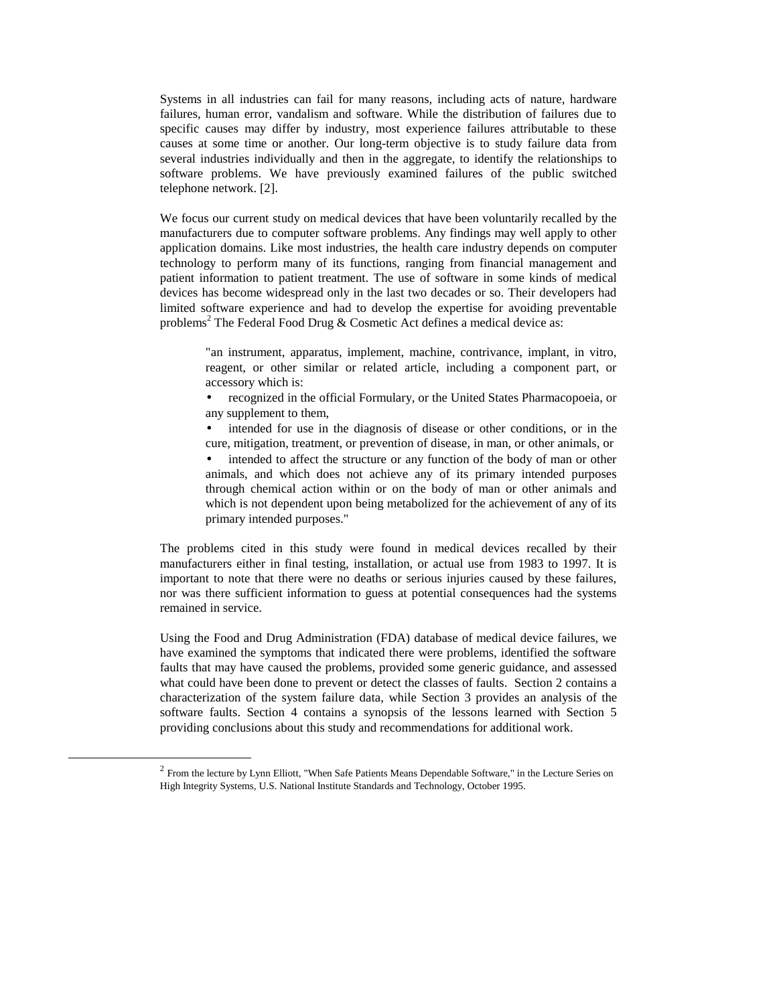software problems. We have previously examined failures of the public switched Systems in all industries can fail for many reasons, including acts of nature, hardware failures, human error, vandalism and software. While the distribution of failures due to specific causes may differ by industry, most experience failures attributable to these causes at some time or another. Our long-term objective is to study failure data from several industries individually and then in the aggregate, to identify the relationships to telephone network. [2].

 We focus our current study on medical devices that have been voluntarily recalled by the application domains. Like most industries, the health care industry depends on computer manufacturers due to computer software problems. Any findings may well apply to other technology to perform many of its functions, ranging from financial management and patient information to patient treatment. The use of software in some kinds of medical devices has become widespread only in the last two decades or so. Their developers had limited software experience and had to develop the expertise for avoiding preventable problems<sup>2</sup> The Federal Food Drug & Cosmetic Act defines a medical device as:

"an instrument, apparatus, implement, machine, contrivance, implant, in vitro, reagent, or other similar or related article, including a component part, or accessory which is:

• recognized in the official Formulary, or the United States Pharmacopoeia, or any supplement to them,

 • intended to affect the structure or any function of the body of man or other through chemical action within or on the body of man or other animals and intended for use in the diagnosis of disease or other conditions, or in the cure, mitigation, treatment, or prevention of disease, in man, or other animals, or animals, and which does not achieve any of its primary intended purposes which is not dependent upon being metabolized for the achievement of any of its primary intended purposes."

 manufacturers either in final testing, installation, or actual use from 1983 to 1997. It is The problems cited in this study were found in medical devices recalled by their important to note that there were no deaths or serious injuries caused by these failures, nor was there sufficient information to guess at potential consequences had the systems remained in service.

 Using the Food and Drug Administration (FDA) database of medical device failures, we faults that may have caused the problems, provided some generic guidance, and assessed characterization of the system failure data, while Section 3 provides an analysis of the have examined the symptoms that indicated there were problems, identified the software what could have been done to prevent or detect the classes of faults. Section 2 contains a software faults. Section 4 contains a synopsis of the lessons learned with Section 5 providing conclusions about this study and recommendations for additional work.

 $\overline{a}$ 

<sup>&</sup>lt;sup>2</sup> From the lecture by Lynn Elliott, "When Safe Patients Means Dependable Software," in the Lecture Series on High Integrity Systems, U.S. National Institute Standards and Technology, October 1995.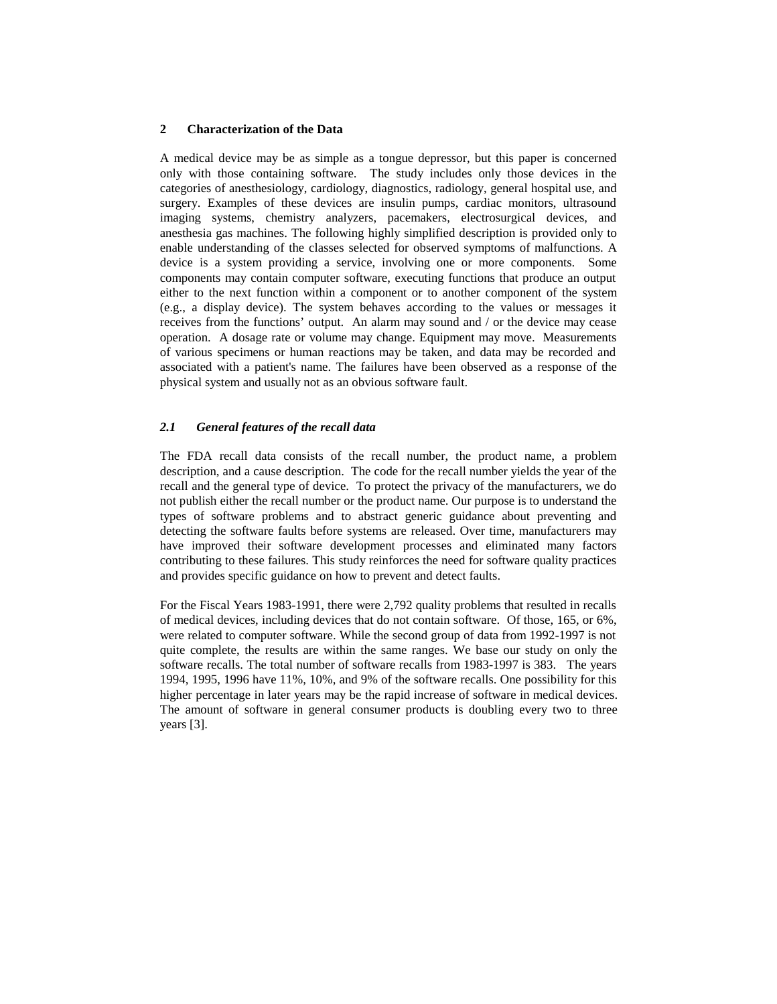### **2 Characterization of the Data**

 A medical device may be as simple as a tongue depressor, but this paper is concerned only with those containing software. The study includes only those devices in the components may contain computer software, executing functions that produce an output receives from the functions' output. An alarm may sound and / or the device may cease operation. A dosage rate or volume may change. Equipment may move. Measurements of various specimens or human reactions may be taken, and data may be recorded and categories of anesthesiology, cardiology, diagnostics, radiology, general hospital use, and surgery. Examples of these devices are insulin pumps, cardiac monitors, ultrasound imaging systems, chemistry analyzers, pacemakers, electrosurgical devices, and anesthesia gas machines. The following highly simplified description is provided only to enable understanding of the classes selected for observed symptoms of malfunctions. A device is a system providing a service, involving one or more components. Some either to the next function within a component or to another component of the system (e.g., a display device). The system behaves according to the values or messages it associated with a patient's name. The failures have been observed as a response of the physical system and usually not as an obvious software fault.

# *2.1 General features of the recall data*

The FDA recall data consists of the recall number, the product name, a problem description, and a cause description. The code for the recall number yields the year of the recall and the general type of device. To protect the privacy of the manufacturers, we do not publish either the recall number or the product name. Our purpose is to understand the types of software problems and to abstract generic guidance about preventing and detecting the software faults before systems are released. Over time, manufacturers may have improved their software development processes and eliminated many factors contributing to these failures. This study reinforces the need for software quality practices and provides specific guidance on how to prevent and detect faults.

 quite complete, the results are within the same ranges. We base our study on only the 1994, 1995, 1996 have 11%, 10%, and 9% of the software recalls. One possibility for this higher percentage in later years may be the rapid increase of software in medical devices. For the Fiscal Years 1983-1991, there were 2,792 quality problems that resulted in recalls of medical devices, including devices that do not contain software. Of those, 165, or 6%, were related to computer software. While the second group of data from 1992-1997 is not software recalls. The total number of software recalls from 1983-1997 is 383. The years The amount of software in general consumer products is doubling every two to three years [3].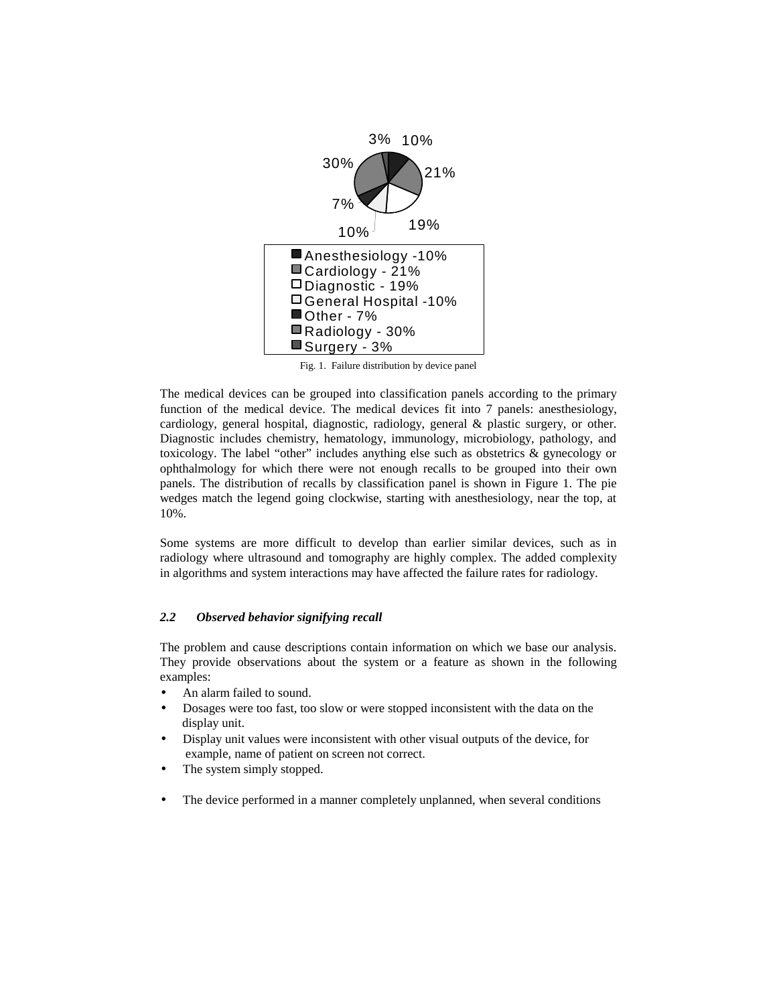

Fig. 1. Failure distribution by device panel

 function of the medical device. The medical devices fit into 7 panels: anesthesiology, ophthalmology for which there were not enough recalls to be grouped into their own panels. The distribution of recalls by classification panel is shown in Figure 1. The pie The medical devices can be grouped into classification panels according to the primary cardiology, general hospital, diagnostic, radiology, general & plastic surgery, or other. Diagnostic includes chemistry, hematology, immunology, microbiology, pathology, and toxicology. The label "other" includes anything else such as obstetrics & gynecology or wedges match the legend going clockwise, starting with anesthesiology, near the top, at 10%.

 in algorithms and system interactions may have affected the failure rates for radiology. Some systems are more difficult to develop than earlier similar devices, such as in radiology where ultrasound and tomography are highly complex. The added complexity

#### *2.2 Observed behavior signifying recall*

 The problem and cause descriptions contain information on which we base our analysis. They provide observations about the system or a feature as shown in the following examples:

- An alarm failed to sound.
- Dosages were too fast, too slow or were stopped inconsistent with the data on the display unit.
- Display unit values were inconsistent with other visual outputs of the device, for example, name of patient on screen not correct.
- The system simply stopped.
- The device performed in a manner completely unplanned, when several conditions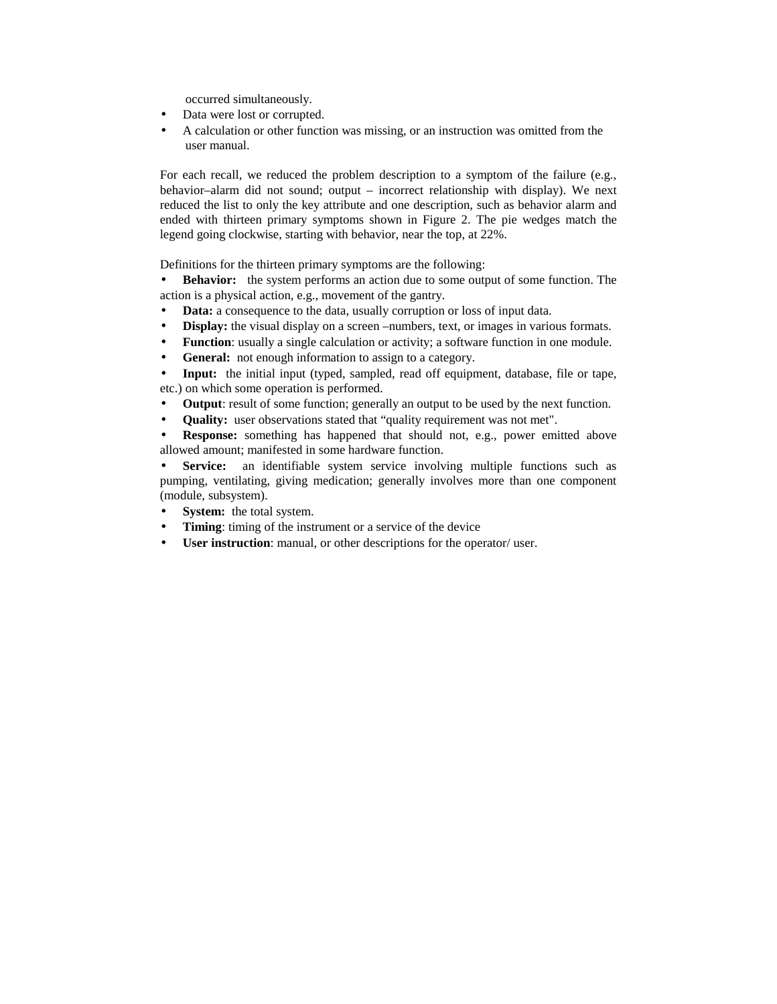occurred simultaneously.

- Data were lost or corrupted.
- A calculation or other function was missing, or an instruction was omitted from the user manual.

 For each recall, we reduced the problem description to a symptom of the failure (e.g., behavior–alarm did not sound; output – incorrect relationship with display). We next reduced the list to only the key attribute and one description, such as behavior alarm and ended with thirteen primary symptoms shown in Figure 2. The pie wedges match the legend going clockwise, starting with behavior, near the top, at 22%.

Definitions for the thirteen primary symptoms are the following:

 • **Behavior:** the system performs an action due to some output of some function. The action is a physical action, e.g., movement of the gantry.

- **Data:** a consequence to the data, usually corruption or loss of input data.
- **Display:** the visual display on a screen –numbers, text, or images in various formats.
- **Function**: usually a single calculation or activity; a software function in one module.
- **General:** not enough information to assign to a category.

• **Input:** the initial input (typed, sampled, read off equipment, database, file or tape, etc.) on which some operation is performed.

- **Output**: result of some function; generally an output to be used by the next function.
- **Quality:** user observations stated that "quality requirement was not met".

**Response:** something has happened that should not, e.g., power emitted above allowed amount; manifested in some hardware function.

• **Service:** an identifiable system service involving multiple functions such as pumping, ventilating, giving medication; generally involves more than one component (module, subsystem).

- **System:** the total system.
- **Timing**: timing of the instrument or a service of the device
- **User instruction**: manual, or other descriptions for the operator/ user.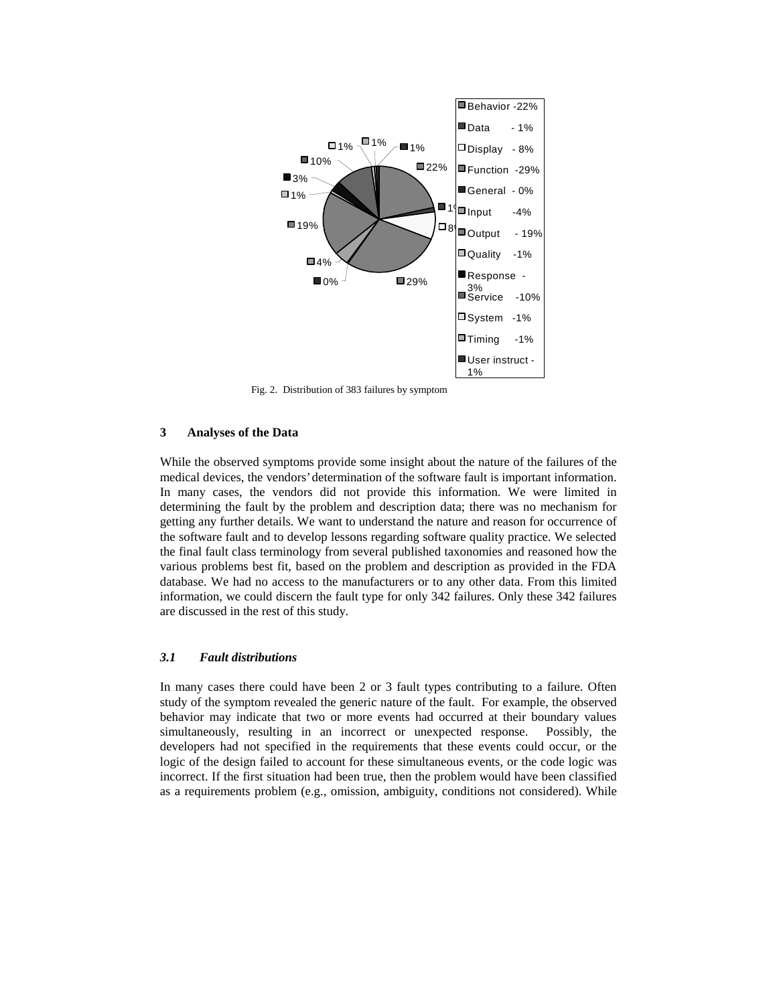

Fig. 2. Distribution of 383 failures by symptom

#### **3 Analyses of the Data**

 getting any further details. We want to understand the nature and reason for occurrence of various problems best fit, based on the problem and description as provided in the FDA information, we could discern the fault type for only 342 failures. Only these 342 failures While the observed symptoms provide some insight about the nature of the failures of the medical devices, the vendors' determination of the software fault is important information. In many cases, the vendors did not provide this information. We were limited in determining the fault by the problem and description data; there was no mechanism for the software fault and to develop lessons regarding software quality practice. We selected the final fault class terminology from several published taxonomies and reasoned how the database. We had no access to the manufacturers or to any other data. From this limited are discussed in the rest of this study.

## *3.1 Fault distributions*

 In many cases there could have been 2 or 3 fault types contributing to a failure. Often study of the symptom revealed the generic nature of the fault. For example, the observed logic of the design failed to account for these simultaneous events, or the code logic was incorrect. If the first situation had been true, then the problem would have been classified behavior may indicate that two or more events had occurred at their boundary values simultaneously, resulting in an incorrect or unexpected response. Possibly, the developers had not specified in the requirements that these events could occur, or the as a requirements problem (e.g., omission, ambiguity, conditions not considered). While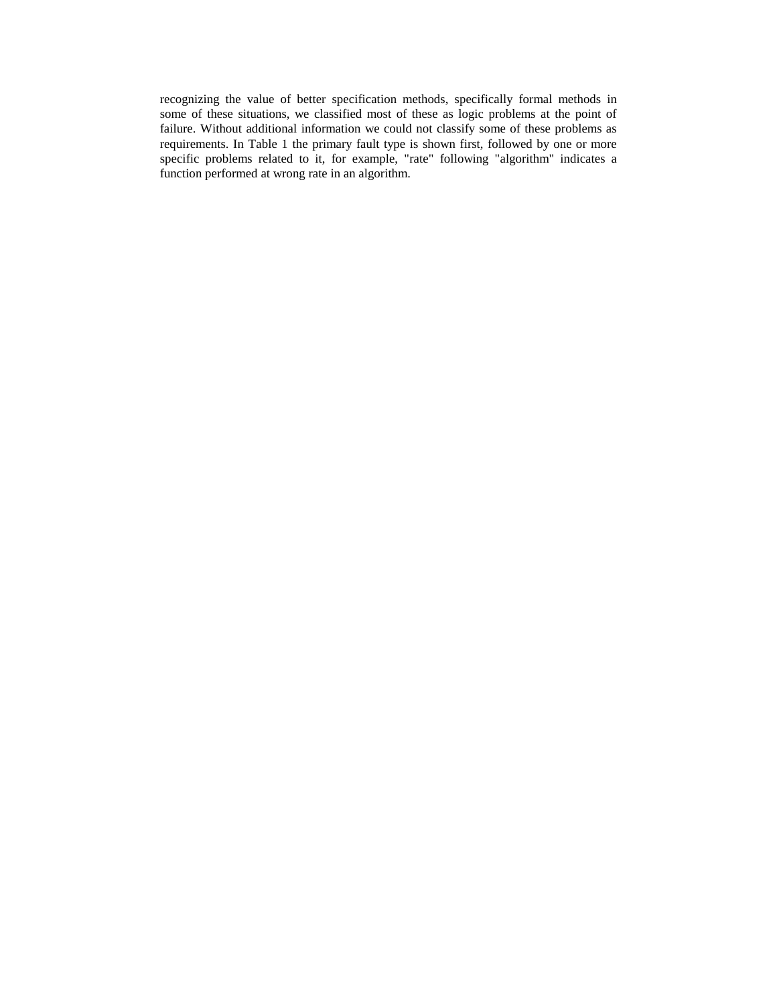requirements. In Table 1 the primary fault type is shown first, followed by one or more recognizing the value of better specification methods, specifically formal methods in some of these situations, we classified most of these as logic problems at the point of failure. Without additional information we could not classify some of these problems as specific problems related to it, for example, "rate" following "algorithm" indicates a function performed at wrong rate in an algorithm.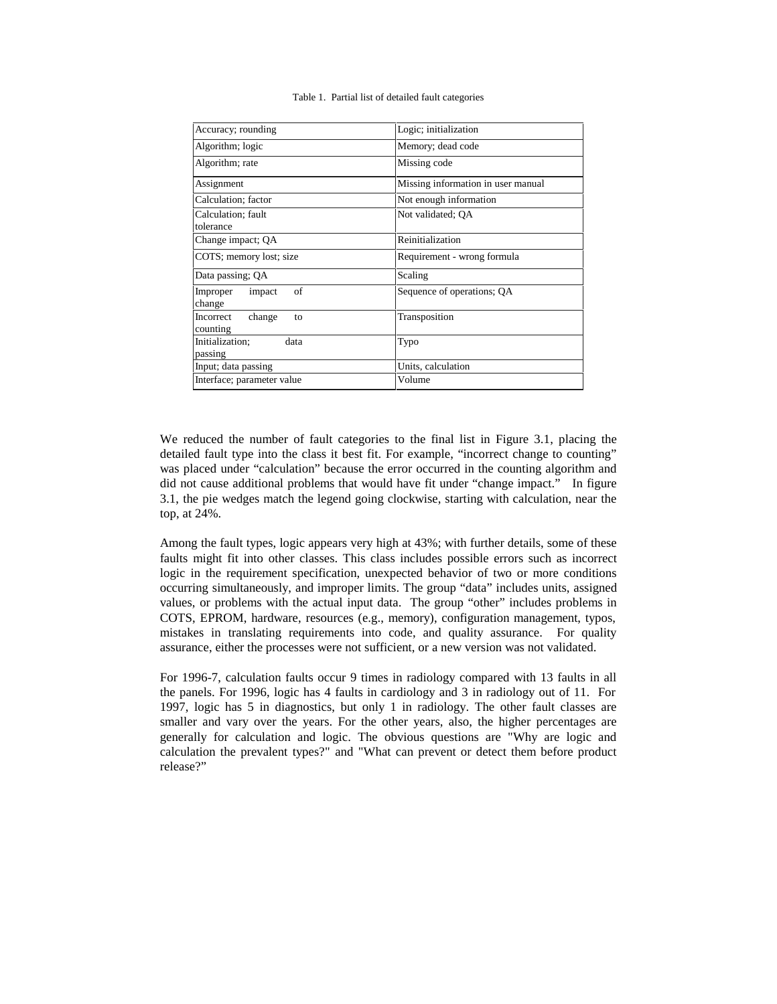|  |  |  |  |  | Table 1. Partial list of detailed fault categories |
|--|--|--|--|--|----------------------------------------------------|
|--|--|--|--|--|----------------------------------------------------|

| Accuracy; rounding                    | Logic; initialization              |
|---------------------------------------|------------------------------------|
| Algorithm; logic                      | Memory; dead code                  |
| Algorithm; rate                       | Missing code                       |
| Assignment                            | Missing information in user manual |
| Calculation; factor                   | Not enough information             |
| Calculation; fault<br>tolerance       | Not validated; OA                  |
| Change impact; QA                     | Reinitialization                   |
| COTS; memory lost; size               | Requirement - wrong formula        |
| Data passing; QA                      | Scaling                            |
| of<br>Improper<br>impact<br>change    | Sequence of operations; QA         |
| Incorrect<br>change<br>to<br>counting | Transposition                      |
| Initialization;<br>data<br>passing    | Typo                               |
| Input; data passing                   | Units, calculation                 |
| Interface; parameter value            | Volume                             |

We reduced the number of fault categories to the final list in Figure 3.1, placing the detailed fault type into the class it best fit. For example, "incorrect change to counting" was placed under "calculation" because the error occurred in the counting algorithm and did not cause additional problems that would have fit under "change impact." In figure 3.1, the pie wedges match the legend going clockwise, starting with calculation, near the top, at 24%.

Among the fault types, logic appears very high at 43%; with further details, some of these faults might fit into other classes. This class includes possible errors such as incorrect logic in the requirement specification, unexpected behavior of two or more conditions occurring simultaneously, and improper limits. The group "data" includes units, assigned values, or problems with the actual input data. The group "other" includes problems in COTS, EPROM, hardware, resources (e.g., memory), configuration management, typos, mistakes in translating requirements into code, and quality assurance. For quality assurance, either the processes were not sufficient, or a new version was not validated.

 For 1996-7, calculation faults occur 9 times in radiology compared with 13 faults in all the panels. For 1996, logic has 4 faults in cardiology and 3 in radiology out of 11. For 1997, logic has 5 in diagnostics, but only 1 in radiology. The other fault classes are smaller and vary over the years. For the other years, also, the higher percentages are generally for calculation and logic. The obvious questions are "Why are logic and calculation the prevalent types?" and "What can prevent or detect them before product release?"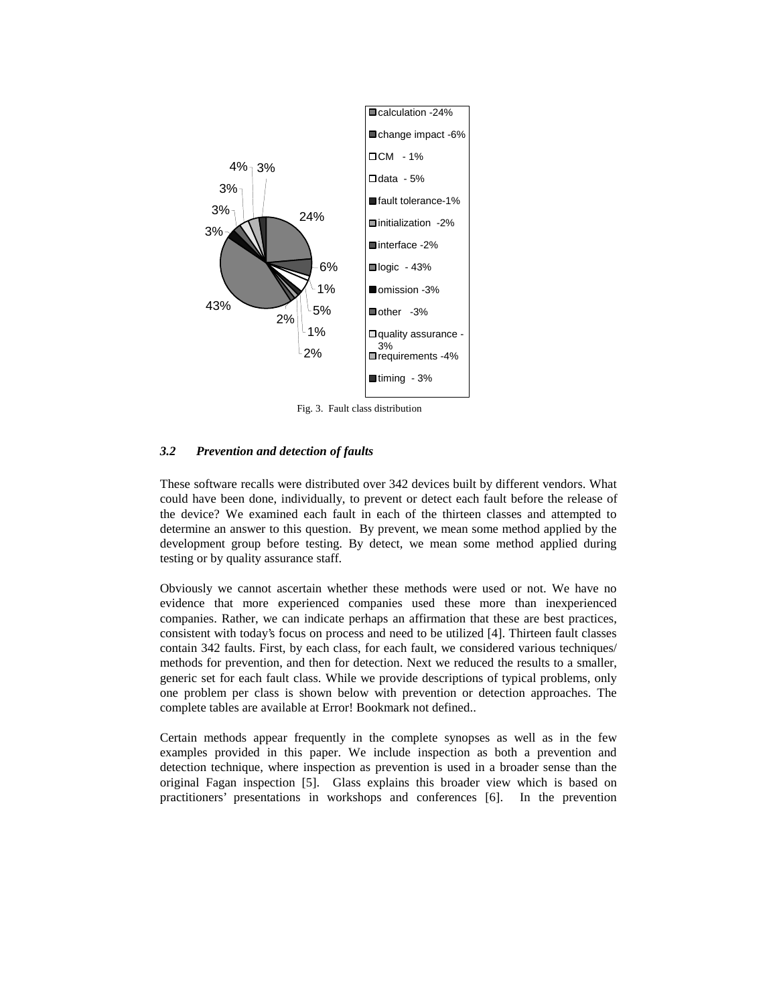

Fig. 3. Fault class distribution

### *3.2 Prevention and detection of faults*

 the device? We examined each fault in each of the thirteen classes and attempted to testing or by quality assurance staff. These software recalls were distributed over 342 devices built by different vendors. What could have been done, individually, to prevent or detect each fault before the release of determine an answer to this question. By prevent, we mean some method applied by the development group before testing. By detect, we mean some method applied during

testing or by quality assurance staff.<br>Obviously we cannot ascertain whether these methods were used or not. We have no consistent with today's focus on process and need to be utilized [4]. Thirteen fault classes one problem per class is shown below with prevention or detection approaches. The evidence that more experienced companies used these more than inexperienced companies. Rather, we can indicate perhaps an affirmation that these are best practices, contain 342 faults. First, by each class, for each fault, we considered various techniques/ methods for prevention, and then for detection. Next we reduced the results to a smaller, generic set for each fault class. While we provide descriptions of typical problems, only complete tables are available at Error! Bookmark not defined..

 examples provided in this paper. We include inspection as both a prevention and original Fagan inspection [5]. Glass explains this broader view which is based on Certain methods appear frequently in the complete synopses as well as in the few detection technique, where inspection as prevention is used in a broader sense than the practitioners' presentations in workshops and conferences [6]. In the prevention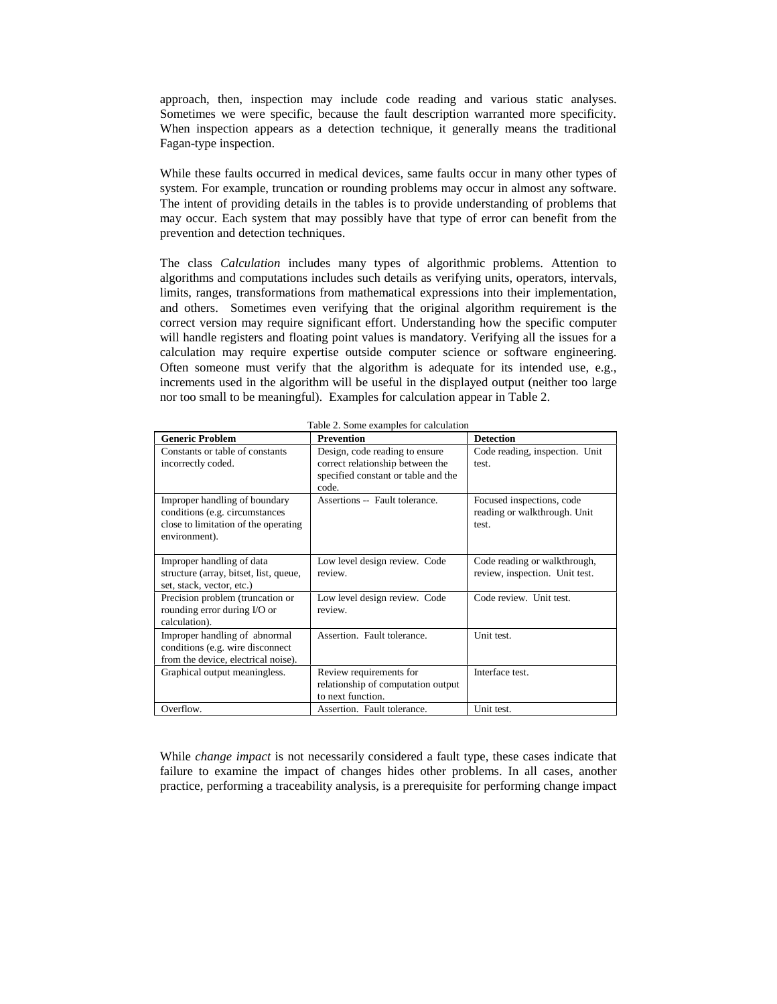approach, then, inspection may include code reading and various static analyses. Sometimes we were specific, because the fault description warranted more specificity. When inspection appears as a detection technique, it generally means the traditional Fagan-type inspection.

While these faults occurred in medical devices, same faults occur in many other types of system. For example, truncation or rounding problems may occur in almost any software. The intent of providing details in the tables is to provide understanding of problems that may occur. Each system that may possibly have that type of error can benefit from the prevention and detection techniques.

 and others. Sometimes even verifying that the original algorithm requirement is the correct version may require significant effort. Understanding how the specific computer calculation may require expertise outside computer science or software engineering. The class *Calculation* includes many types of algorithmic problems. Attention to algorithms and computations includes such details as verifying units, operators, intervals, limits, ranges, transformations from mathematical expressions into their implementation, will handle registers and floating point values is mandatory. Verifying all the issues for a Often someone must verify that the algorithm is adequate for its intended use, e.g., increments used in the algorithm will be useful in the displayed output (neither too large nor too small to be meaningful). Examples for calculation appear in Table 2.

| <b>Generic Problem</b>                                                                                                   | <b>Prevention</b>                                                                                                  | <b>Detection</b>                                                   |
|--------------------------------------------------------------------------------------------------------------------------|--------------------------------------------------------------------------------------------------------------------|--------------------------------------------------------------------|
| Constants or table of constants<br>incorrectly coded.                                                                    | Design, code reading to ensure<br>correct relationship between the<br>specified constant or table and the<br>code. | Code reading, inspection. Unit<br>test.                            |
| Improper handling of boundary<br>conditions (e.g. circumstances<br>close to limitation of the operating<br>environment). | Assertions -- Fault tolerance.                                                                                     | Focused inspections, code<br>reading or walkthrough. Unit<br>test. |
| Improper handling of data<br>structure (array, bitset, list, queue,<br>set, stack, vector, etc.)                         | Low level design review. Code<br>review.                                                                           | Code reading or walkthrough,<br>review, inspection. Unit test.     |
| Precision problem (truncation or<br>rounding error during I/O or<br>calculation).                                        | Low level design review. Code<br>review.                                                                           | Code review. Unit test.                                            |
| Improper handling of abnormal<br>conditions (e.g. wire disconnect<br>from the device, electrical noise).                 | Assertion. Fault tolerance.                                                                                        | Unit test.                                                         |
| Graphical output meaningless.                                                                                            | Review requirements for<br>relationship of computation output<br>to next function.                                 | Interface test.                                                    |
| Overflow.                                                                                                                | Assertion. Fault tolerance.                                                                                        | Unit test.                                                         |

Table 2. Some examples for calculation

While *change impact* is not necessarily considered a fault type, these cases indicate that failure to examine the impact of changes hides other problems. In all cases, another practice, performing a traceability analysis, is a prerequisite for performing change impact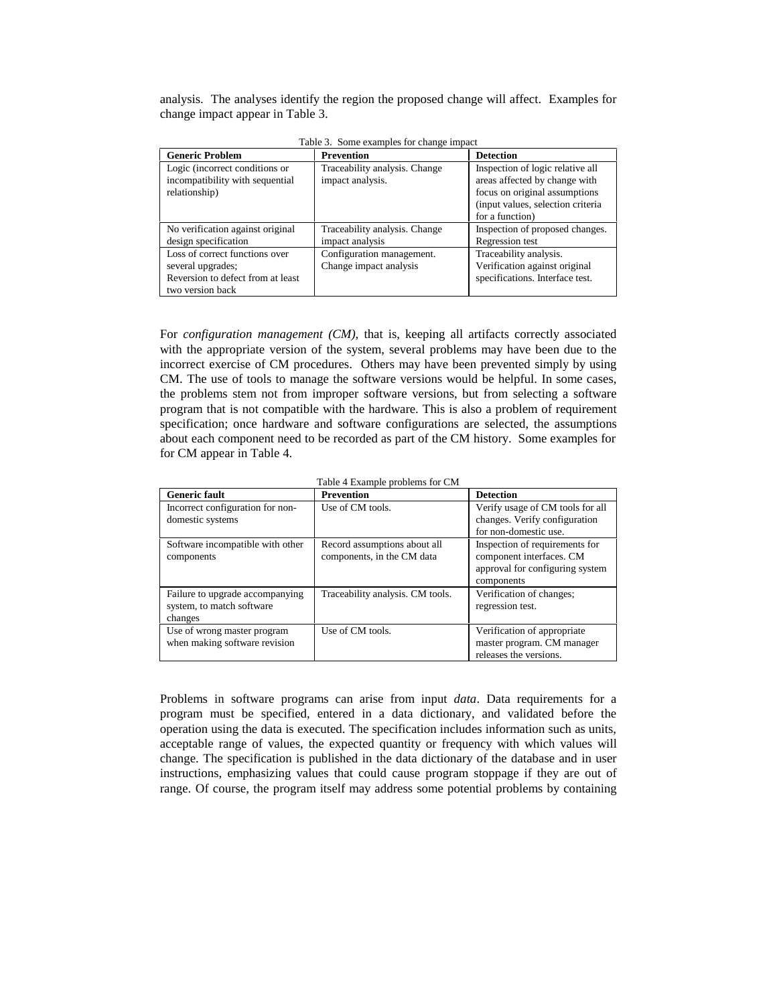analysis. The analyses identify the region the proposed change will affect. Examples for change impact appear in Table 3.

| <b>Generic Problem</b>                                                                                       | <b>Prevention</b>                                   | <b>Detection</b>                                                                                                                                           |
|--------------------------------------------------------------------------------------------------------------|-----------------------------------------------------|------------------------------------------------------------------------------------------------------------------------------------------------------------|
| Logic (incorrect conditions or<br>incompatibility with sequential<br>relationship)                           | Traceability analysis. Change<br>impact analysis.   | Inspection of logic relative all<br>areas affected by change with<br>focus on original assumptions<br>(input values, selection criteria<br>for a function) |
| No verification against original<br>design specification                                                     | Traceability analysis. Change<br>impact analysis    | Inspection of proposed changes.<br>Regression test                                                                                                         |
| Loss of correct functions over<br>several upgrades;<br>Reversion to defect from at least<br>two version back | Configuration management.<br>Change impact analysis | Traceability analysis.<br>Verification against original<br>specifications. Interface test.                                                                 |

Table 3. Some examples for change impact

 incorrect exercise of CM procedures. Others may have been prevented simply by using CM. The use of tools to manage the software versions would be helpful. In some cases, the problems stem not from improper software versions, but from selecting a software For *configuration management (CM)*, that is, keeping all artifacts correctly associated with the appropriate version of the system, several problems may have been due to the program that is not compatible with the hardware. This is also a problem of requirement specification; once hardware and software configurations are selected, the assumptions about each component need to be recorded as part of the CM history. Some examples for for CM appear in Table 4.

|  | Table 4 Example problems for CM |  |
|--|---------------------------------|--|
|  |                                 |  |
|  |                                 |  |

| <b>Generic fault</b>                           | <b>Prevention</b>                                          | <b>Detection</b>                                                                                            |
|------------------------------------------------|------------------------------------------------------------|-------------------------------------------------------------------------------------------------------------|
| Incorrect configuration for non-               | Use of CM tools.                                           | Verify usage of CM tools for all                                                                            |
| domestic systems                               |                                                            | changes. Verify configuration                                                                               |
|                                                |                                                            | for non-domestic use.                                                                                       |
| Software incompatible with other<br>components | Record assumptions about all<br>components, in the CM data | Inspection of requirements for<br>component interfaces. CM<br>approval for configuring system<br>components |
| Failure to upgrade accompanying                | Traceability analysis. CM tools.                           | Verification of changes;                                                                                    |
| system, to match software                      |                                                            | regression test.                                                                                            |
| changes                                        |                                                            |                                                                                                             |
| Use of wrong master program                    | Use of CM tools.                                           | Verification of appropriate                                                                                 |
| when making software revision                  |                                                            | master program. CM manager                                                                                  |
|                                                |                                                            | releases the versions.                                                                                      |

 Problems in software programs can arise from input *data*. Data requirements for a acceptable range of values, the expected quantity or frequency with which values will instructions, emphasizing values that could cause program stoppage if they are out of program must be specified, entered in a data dictionary, and validated before the operation using the data is executed. The specification includes information such as units, change. The specification is published in the data dictionary of the database and in user range. Of course, the program itself may address some potential problems by containing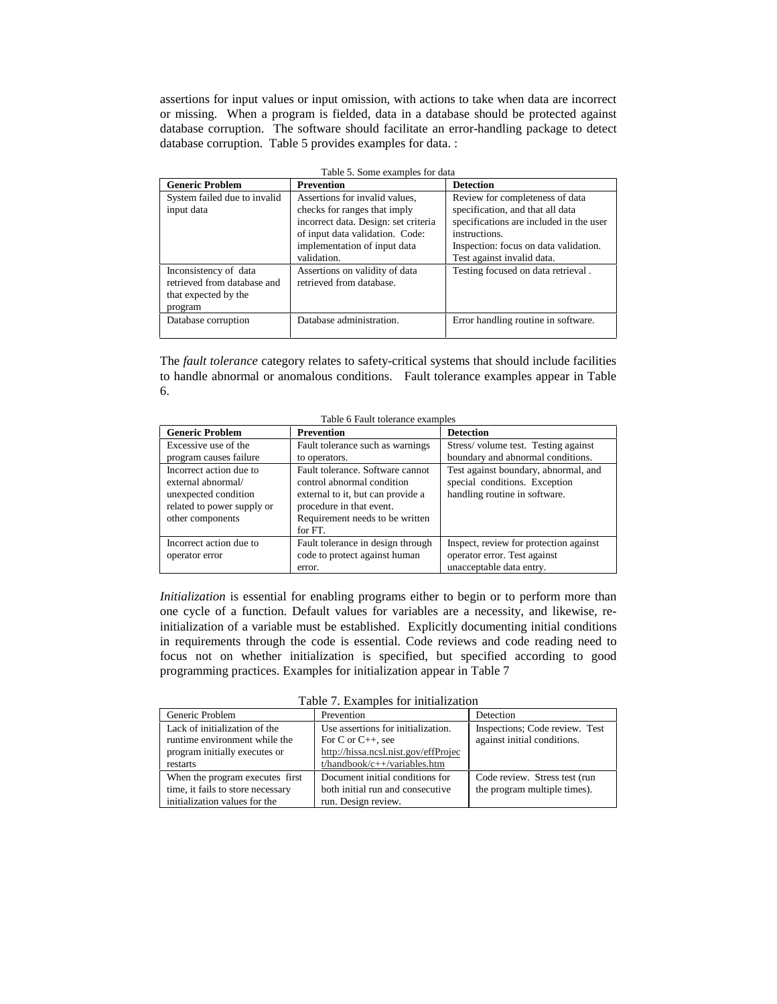or missing. When a program is fielded, data in a database should be protected against assertions for input values or input omission, with actions to take when data are incorrect database corruption. The software should facilitate an error-handling package to detect database corruption. Table 5 provides examples for data. :

| Table 5. Some examples for data                                                         |                                                                                                                                                                                          |                                                                                                                                                                                                                |  |  |
|-----------------------------------------------------------------------------------------|------------------------------------------------------------------------------------------------------------------------------------------------------------------------------------------|----------------------------------------------------------------------------------------------------------------------------------------------------------------------------------------------------------------|--|--|
| <b>Generic Problem</b>                                                                  | <b>Prevention</b>                                                                                                                                                                        | <b>Detection</b>                                                                                                                                                                                               |  |  |
| System failed due to invalid<br>input data                                              | Assertions for invalid values.<br>checks for ranges that imply<br>incorrect data. Design: set criteria<br>of input data validation. Code:<br>implementation of input data<br>validation. | Review for completeness of data<br>specification, and that all data<br>specifications are included in the user<br><i>instructions</i> .<br>Inspection: focus on data validation.<br>Test against invalid data. |  |  |
| Inconsistency of data<br>retrieved from database and<br>that expected by the<br>program | Assertions on validity of data<br>retrieved from database.                                                                                                                               | Testing focused on data retrieval.                                                                                                                                                                             |  |  |
| Database corruption                                                                     | Database administration.                                                                                                                                                                 | Error handling routine in software.                                                                                                                                                                            |  |  |

 The *fault tolerance* category relates to safety-critical systems that should include facilities to handle abnormal or anomalous conditions. Fault tolerance examples appear in Table 6.

| Table 6 Fault tolerance examples                                                                                        |                                                                                                                                                                               |                                                                                                        |  |  |
|-------------------------------------------------------------------------------------------------------------------------|-------------------------------------------------------------------------------------------------------------------------------------------------------------------------------|--------------------------------------------------------------------------------------------------------|--|--|
| <b>Generic Problem</b>                                                                                                  | <b>Prevention</b>                                                                                                                                                             | <b>Detection</b>                                                                                       |  |  |
| Excessive use of the<br>program causes failure                                                                          | Fault tolerance such as warnings<br>to operators.                                                                                                                             | Stress/volume test. Testing against<br>boundary and abnormal conditions.                               |  |  |
| Incorrect action due to<br>external abnormal/<br>unexpected condition<br>related to power supply or<br>other components | Fault tolerance. Software cannot<br>control abnormal condition<br>external to it, but can provide a<br>procedure in that event.<br>Requirement needs to be written<br>for FT. | Test against boundary, abnormal, and<br>special conditions. Exception<br>handling routine in software. |  |  |
| Incorrect action due to<br>operator error                                                                               | Fault tolerance in design through<br>code to protect against human<br>error.                                                                                                  | Inspect, review for protection against<br>operator error. Test against<br>unacceptable data entry.     |  |  |

*Initialization* is essential for enabling programs either to begin or to perform more than one cycle of a function. Default values for variables are a necessity, and likewise, reinitialization of a variable must be established. Explicitly documenting initial conditions in requirements through the code is essential. Code reviews and code reading need to focus not on whether initialization is specified, but specified according to good programming practices. Examples for initialization appear in Table 7

Table 7. Examples for initialization

| Generic Problem                                                | Prevention                                                              | Detection                                                     |
|----------------------------------------------------------------|-------------------------------------------------------------------------|---------------------------------------------------------------|
| Lack of initialization of the<br>runtime environment while the | Use assertions for initialization.<br>For C or $C_{++}$ , see           | Inspections; Code review. Test<br>against initial conditions. |
| program initially executes or<br>restarts                      | http://hissa.ncsl.nist.gov/effProjec<br>$t/h$ andbook/c++/variables.htm |                                                               |
| When the program executes first                                | Document initial conditions for                                         | Code review. Stress test (run                                 |
| time, it fails to store necessary                              | both initial run and consecutive                                        | the program multiple times).                                  |
| initialization values for the                                  | run. Design review.                                                     |                                                               |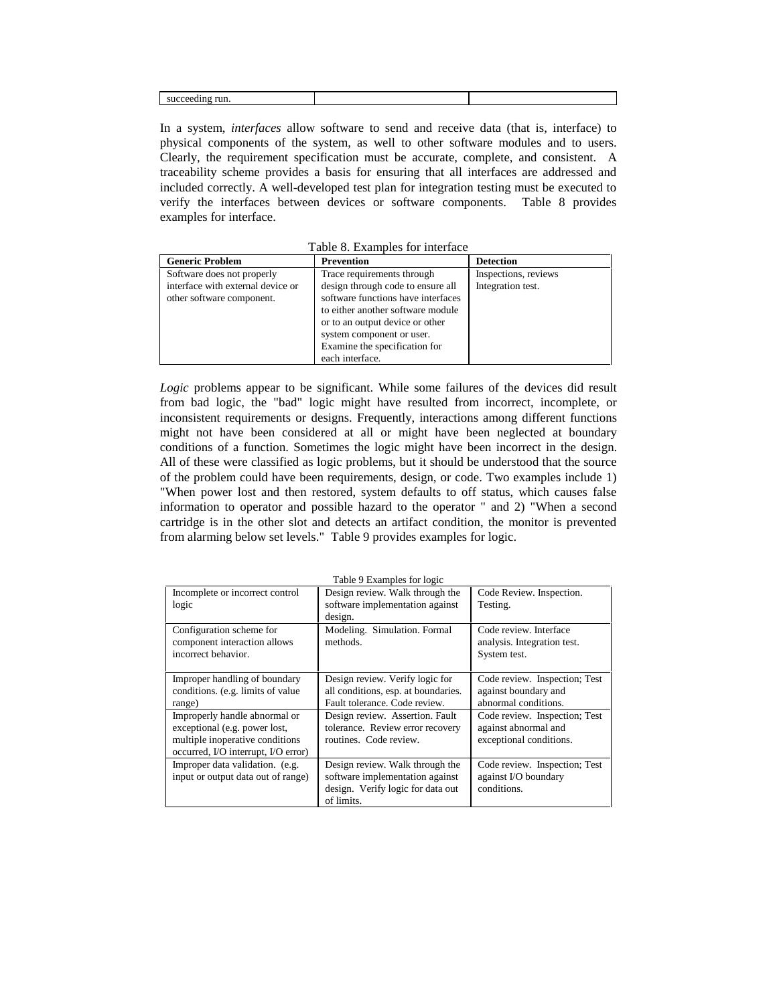| ∙ tun.<br>` |  |
|-------------|--|
|             |  |

 traceability scheme provides a basis for ensuring that all interfaces are addressed and included correctly. A well-developed test plan for integration testing must be executed to In a system, *interfaces* allow software to send and receive data (that is, interface) to physical components of the system, as well to other software modules and to users. Clearly, the requirement specification must be accurate, complete, and consistent. A verify the interfaces between devices or software components. Table 8 provides examples for interface.

| <b>Generic Problem</b>            | Prevention                         | <b>Detection</b>     |
|-----------------------------------|------------------------------------|----------------------|
| Software does not properly        | Trace requirements through         | Inspections, reviews |
| interface with external device or | design through code to ensure all  | Integration test.    |
| other software component.         | software functions have interfaces |                      |
|                                   | to either another software module  |                      |
|                                   | or to an output device or other    |                      |
|                                   | system component or user.          |                      |
|                                   | Examine the specification for      |                      |
|                                   | each interface.                    |                      |

Table 8. Examples for interface

 might not have been considered at all or might have been neglected at boundary All of these were classified as logic problems, but it should be understood that the source *Logic* problems appear to be significant. While some failures of the devices did result from bad logic, the "bad" logic might have resulted from incorrect, incomplete, or inconsistent requirements or designs. Frequently, interactions among different functions conditions of a function. Sometimes the logic might have been incorrect in the design. of the problem could have been requirements, design, or code. Two examples include 1) "When power lost and then restored, system defaults to off status, which causes false information to operator and possible hazard to the operator " and 2) "When a second cartridge is in the other slot and detects an artifact condition, the monitor is prevented from alarming below set levels." Table 9 provides examples for logic.

|                                     | Table 9 Examples for logic          |                               |  |  |
|-------------------------------------|-------------------------------------|-------------------------------|--|--|
| Incomplete or incorrect control     | Design review. Walk through the     | Code Review. Inspection.      |  |  |
| logic                               | software implementation against     | Testing.                      |  |  |
|                                     | design.                             |                               |  |  |
| Configuration scheme for            | Modeling. Simulation. Formal        | Code review. Interface        |  |  |
| component interaction allows        | methods.                            | analysis. Integration test.   |  |  |
| incorrect behavior.                 |                                     | System test.                  |  |  |
|                                     |                                     |                               |  |  |
| Improper handling of boundary       | Design review. Verify logic for     | Code review. Inspection; Test |  |  |
| conditions. (e.g. limits of value   | all conditions, esp. at boundaries. | against boundary and          |  |  |
| range)                              | Fault tolerance. Code review.       | abnormal conditions.          |  |  |
| Improperly handle abnormal or       | Design review. Assertion. Fault     | Code review. Inspection; Test |  |  |
| exceptional (e.g. power lost,       | tolerance. Review error recovery    | against abnormal and          |  |  |
| multiple inoperative conditions     | routines. Code review.              | exceptional conditions.       |  |  |
| occurred, I/O interrupt, I/O error) |                                     |                               |  |  |
| Improper data validation. (e.g.     | Design review. Walk through the     | Code review. Inspection; Test |  |  |
| input or output data out of range)  | software implementation against     | against I/O boundary          |  |  |
|                                     | design. Verify logic for data out   | conditions.                   |  |  |
|                                     | of limits.                          |                               |  |  |

Table 0 Examples for logic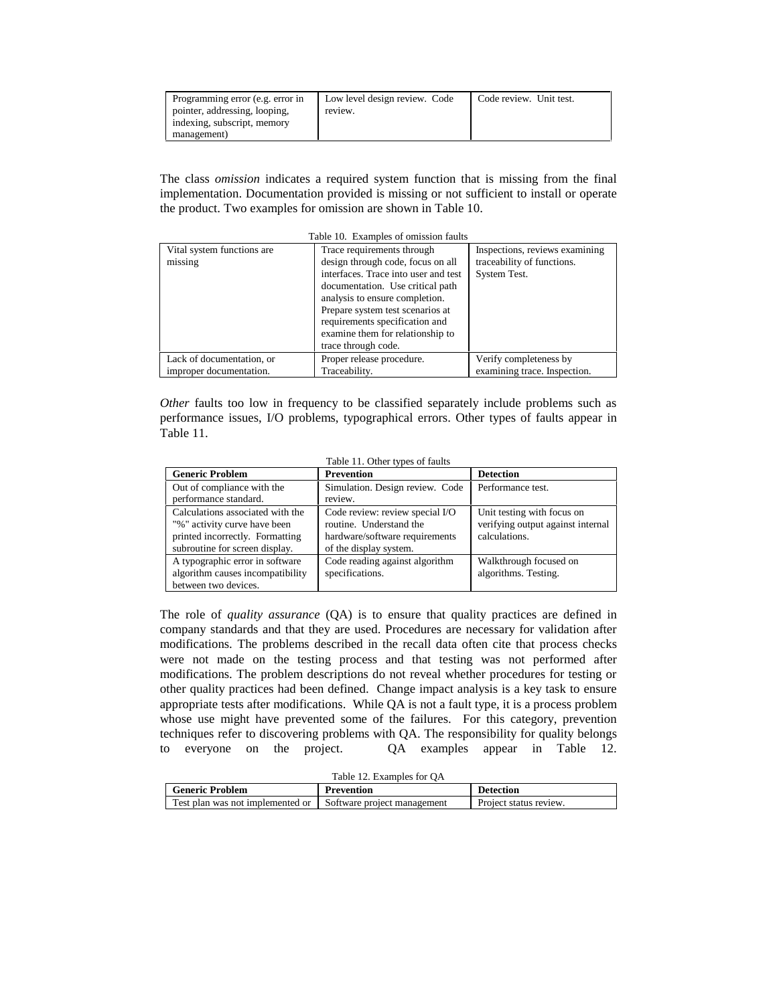| Programming error (e.g. error in | Low level design review. Code | Code review. Unit test. |
|----------------------------------|-------------------------------|-------------------------|
| pointer, addressing, looping,    | review.                       |                         |
| indexing, subscript, memory      |                               |                         |
| management)                      |                               |                         |

The class *omission* indicates a required system function that is missing from the final implementation. Documentation provided is missing or not sufficient to install or operate the product. Two examples for omission are shown in Table 10.

 Proper release procedure. Traceability. Table 10. Examples of omission faults Vital system functions are missing Trace requirements through design through code, focus on all interfaces. Trace into user and test documentation. Use critical path analysis to ensure completion. Prepare system test scenarios at requirements specification and examine them for relationship to trace through code. Inspections, reviews examining traceability of functions. System Test. Lack of documentation, or improper documentation. Verify completeness by examining trace. Inspection.

 performance issues, I/O problems, typographical errors. Other types of faults appear in *Other* faults too low in frequency to be classified separately include problems such as Table 11.

| Table 11. Other types of faults                                                                                                       |                                                                                                                        |                                                                                  |
|---------------------------------------------------------------------------------------------------------------------------------------|------------------------------------------------------------------------------------------------------------------------|----------------------------------------------------------------------------------|
| <b>Generic Problem</b>                                                                                                                | <b>Prevention</b>                                                                                                      | <b>Detection</b>                                                                 |
| Out of compliance with the<br>performance standard.                                                                                   | Simulation. Design review. Code<br>review.                                                                             | Performance test.                                                                |
| Calculations associated with the<br>"%" activity curve have been<br>printed incorrectly. Formatting<br>subroutine for screen display. | Code review: review special I/O<br>routine. Understand the<br>hardware/software requirements<br>of the display system. | Unit testing with focus on<br>verifying output against internal<br>calculations. |
| A typographic error in software<br>algorithm causes incompatibility<br>between two devices.                                           | Code reading against algorithm<br>specifications.                                                                      | Walkthrough focused on<br>algorithms. Testing.                                   |

 The role of *quality assurance* (QA) is to ensure that quality practices are defined in were not made on the testing process and that testing was not performed after modifications. The problem descriptions do not reveal whether procedures for testing or to everyone on the project. company standards and that they are used. Procedures are necessary for validation after modifications. The problems described in the recall data often cite that process checks other quality practices had been defined. Change impact analysis is a key task to ensure appropriate tests after modifications. While QA is not a fault type, it is a process problem whose use might have prevented some of the failures. For this category, prevention techniques refer to discovering problems with QA. The responsibility for quality belongs QA examples appear in Table 12.

| Table 12. Examples for OA        |                             |                        |
|----------------------------------|-----------------------------|------------------------|
| <b>Generic Problem</b>           | Prevention                  | <b>Detection</b>       |
| Test plan was not implemented or | Software project management | Project status review. |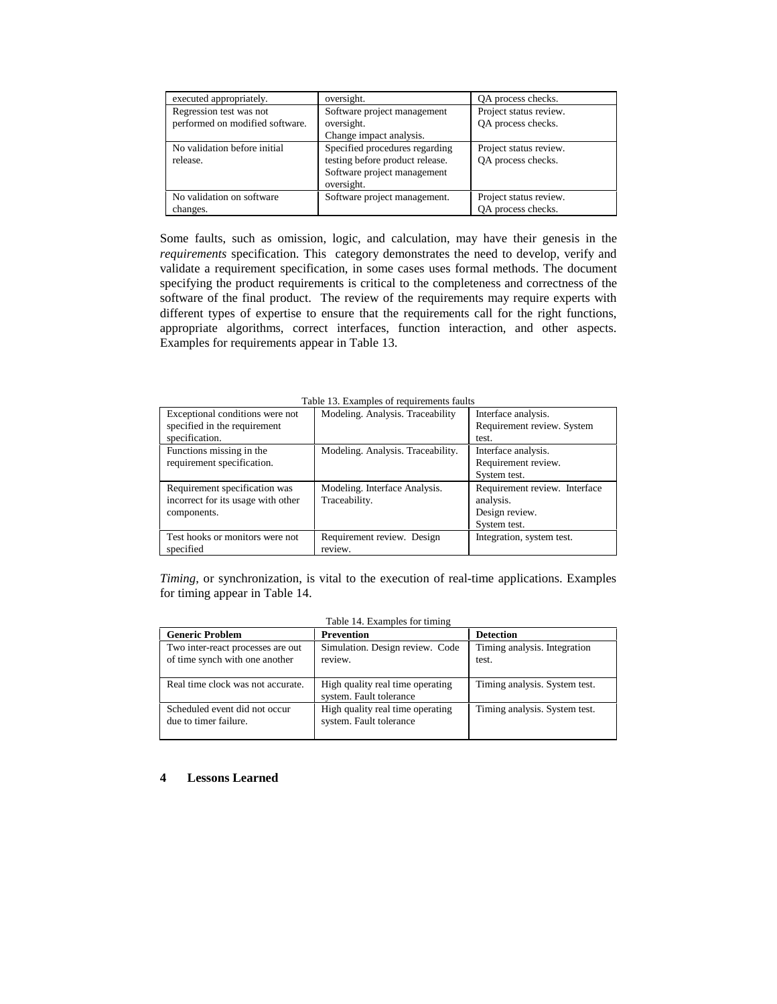| executed appropriately.                                    | oversight.                                                                                                     | OA process checks.                           |
|------------------------------------------------------------|----------------------------------------------------------------------------------------------------------------|----------------------------------------------|
| Regression test was not<br>performed on modified software. | Software project management<br>oversight.<br>Change impact analysis.                                           | Project status review.<br>QA process checks. |
| No validation before initial<br>release.                   | Specified procedures regarding<br>testing before product release.<br>Software project management<br>oversight. | Project status review.<br>QA process checks. |
| No validation on software<br>changes.                      | Software project management.                                                                                   | Project status review.<br>OA process checks. |

Some faults, such as omission, logic, and calculation, may have their genesis in the *requirements* specification. This category demonstrates the need to develop, verify and validate a requirement specification, in some cases uses formal methods. The document specifying the product requirements is critical to the completeness and correctness of the software of the final product. The review of the requirements may require experts with different types of expertise to ensure that the requirements call for the right functions, appropriate algorithms, correct interfaces, function interaction, and other aspects. Examples for requirements appear in Table 13.

| Table 13. Examples of requirements faults |                                   |                               |
|-------------------------------------------|-----------------------------------|-------------------------------|
| Exceptional conditions were not           | Modeling. Analysis. Traceability  | Interface analysis.           |
| specified in the requirement              |                                   | Requirement review. System    |
| specification.                            |                                   | test.                         |
| Functions missing in the                  | Modeling. Analysis. Traceability. | Interface analysis.           |
| requirement specification.                |                                   | Requirement review.           |
|                                           |                                   | System test.                  |
| Requirement specification was             | Modeling. Interface Analysis.     | Requirement review. Interface |
| incorrect for its usage with other        | Traceability.                     | analysis.                     |
| components.                               |                                   | Design review.                |
|                                           |                                   | System test.                  |
| Test hooks or monitors were not           | Requirement review. Design        | Integration, system test.     |
| specified                                 | review.                           |                               |

*Timing*, or synchronization, is vital to the execution of real-time applications. Examples for timing appear in Table 14.

| <b>Generic Problem</b>                                              | <b>Prevention</b>                                           | <b>Detection</b>                      |
|---------------------------------------------------------------------|-------------------------------------------------------------|---------------------------------------|
| Two inter-react processes are out<br>of time synch with one another | Simulation. Design review. Code<br>review.                  | Timing analysis. Integration<br>test. |
| Real time clock was not accurate.                                   | High quality real time operating<br>system. Fault tolerance | Timing analysis. System test.         |
| Scheduled event did not occur<br>due to timer failure.              | High quality real time operating<br>system. Fault tolerance | Timing analysis. System test.         |

Table 14. Examples for timing

# **4 Lessons Learned**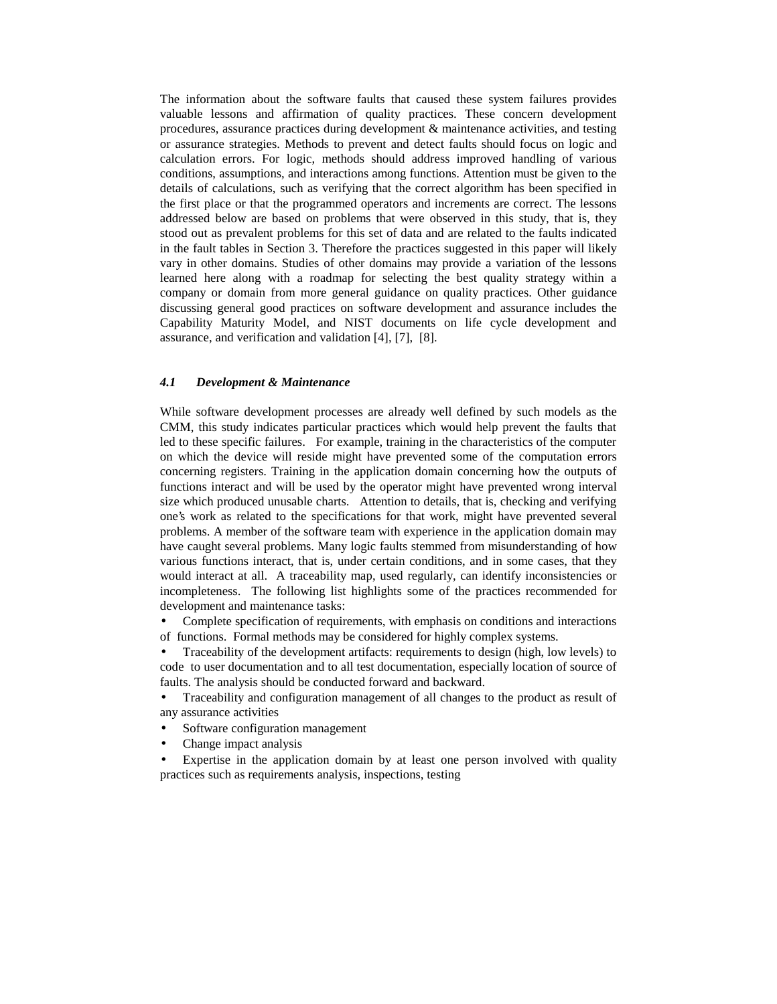calculation errors. For logic, methods should address improved handling of various stood out as prevalent problems for this set of data and are related to the faults indicated in the fault tables in Section 3. Therefore the practices suggested in this paper will likely vary in other domains. Studies of other domains may provide a variation of the lessons learned here along with a roadmap for selecting the best quality strategy within a company or domain from more general guidance on quality practices. Other guidance The information about the software faults that caused these system failures provides valuable lessons and affirmation of quality practices. These concern development procedures, assurance practices during development & maintenance activities, and testing or assurance strategies. Methods to prevent and detect faults should focus on logic and conditions, assumptions, and interactions among functions. Attention must be given to the details of calculations, such as verifying that the correct algorithm has been specified in the first place or that the programmed operators and increments are correct. The lessons addressed below are based on problems that were observed in this study, that is, they discussing general good practices on software development and assurance includes the Capability Maturity Model, and NIST documents on life cycle development and assurance, and verification and validation [4], [7], [8].

# *4.1 Development & Maintenance*

 CMM, this study indicates particular practices which would help prevent the faults that led to these specific failures. For example, training in the characteristics of the computer concerning registers. Training in the application domain concerning how the outputs of size which produced unusable charts. Attention to details, that is, checking and verifying one's work as related to the specifications for that work, might have prevented several would interact at all. A traceability map, used regularly, can identify inconsistencies or While software development processes are already well defined by such models as the on which the device will reside might have prevented some of the computation errors functions interact and will be used by the operator might have prevented wrong interval problems. A member of the software team with experience in the application domain may have caught several problems. Many logic faults stemmed from misunderstanding of how various functions interact, that is, under certain conditions, and in some cases, that they incompleteness. The following list highlights some of the practices recommended for development and maintenance tasks:

• Complete specification of requirements, with emphasis on conditions and interactions of functions. Formal methods may be considered for highly complex systems.

 code to user documentation and to all test documentation, especially location of source of • Traceability of the development artifacts: requirements to design (high, low levels) to faults. The analysis should be conducted forward and backward.

• Traceability and configuration management of all changes to the product as result of any assurance activities

- Software configuration management
- Change impact analysis

 • Expertise in the application domain by at least one person involved with quality practices such as requirements analysis, inspections, testing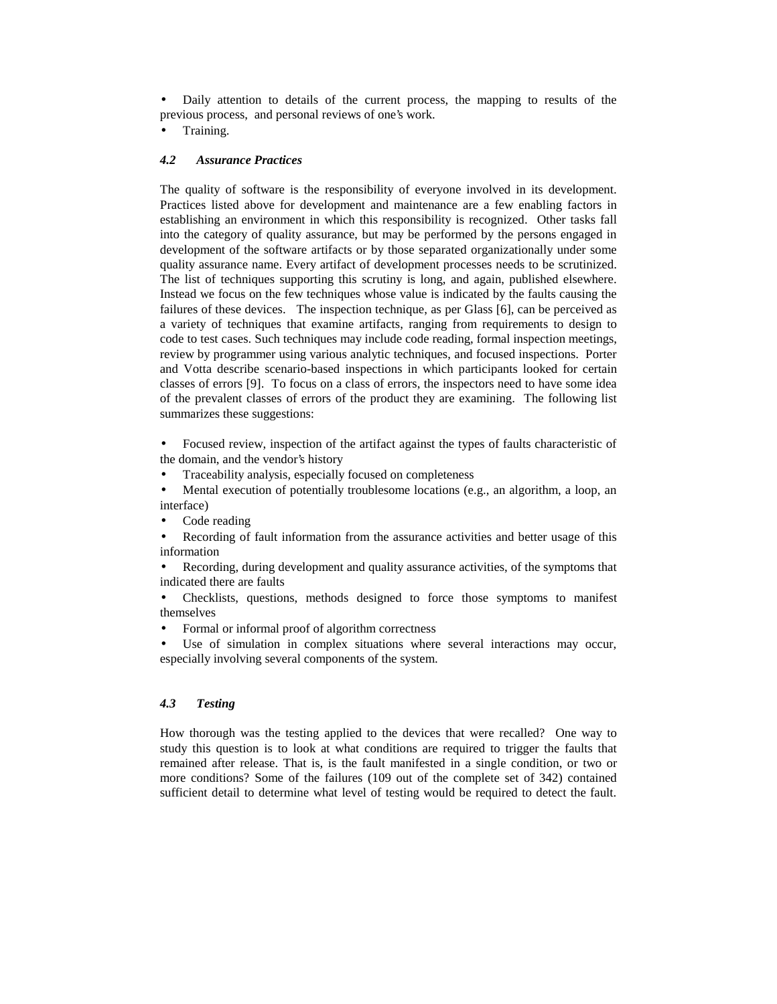• Daily attention to details of the current process, the mapping to results of the previous process, and personal reviews of one's work.

• Training.

## *4.2 Assurance Practices*

 into the category of quality assurance, but may be performed by the persons engaged in quality assurance name. Every artifact of development processes needs to be scrutinized. The list of techniques supporting this scrutiny is long, and again, published elsewhere. classes of errors [9]. To focus on a class of errors, the inspectors need to have some idea The quality of software is the responsibility of everyone involved in its development. Practices listed above for development and maintenance are a few enabling factors in establishing an environment in which this responsibility is recognized. Other tasks fall development of the software artifacts or by those separated organizationally under some Instead we focus on the few techniques whose value is indicated by the faults causing the failures of these devices. The inspection technique, as per Glass [6], can be perceived as a variety of techniques that examine artifacts, ranging from requirements to design to code to test cases. Such techniques may include code reading, formal inspection meetings, review by programmer using various analytic techniques, and focused inspections. Porter and Votta describe scenario-based inspections in which participants looked for certain of the prevalent classes of errors of the product they are examining. The following list summarizes these suggestions:

• Focused review, inspection of the artifact against the types of faults characteristic of the domain, and the vendor's history

- Traceability analysis, especially focused on completeness
- Mental execution of potentially troublesome locations (e.g., an algorithm, a loop, an interface)
- Code reading

Recording of fault information from the assurance activities and better usage of this information

• Recording, during development and quality assurance activities, of the symptoms that indicated there are faults

• Checklists, questions, methods designed to force those symptoms to manifest themselves

- Formal or informal proof of algorithm correctness
- Use of simulation in complex situations where several interactions may occur, especially involving several components of the system.

# *4.3 Testing*

 How thorough was the testing applied to the devices that were recalled? One way to remained after release. That is, is the fault manifested in a single condition, or two or more conditions? Some of the failures (109 out of the complete set of 342) contained study this question is to look at what conditions are required to trigger the faults that sufficient detail to determine what level of testing would be required to detect the fault.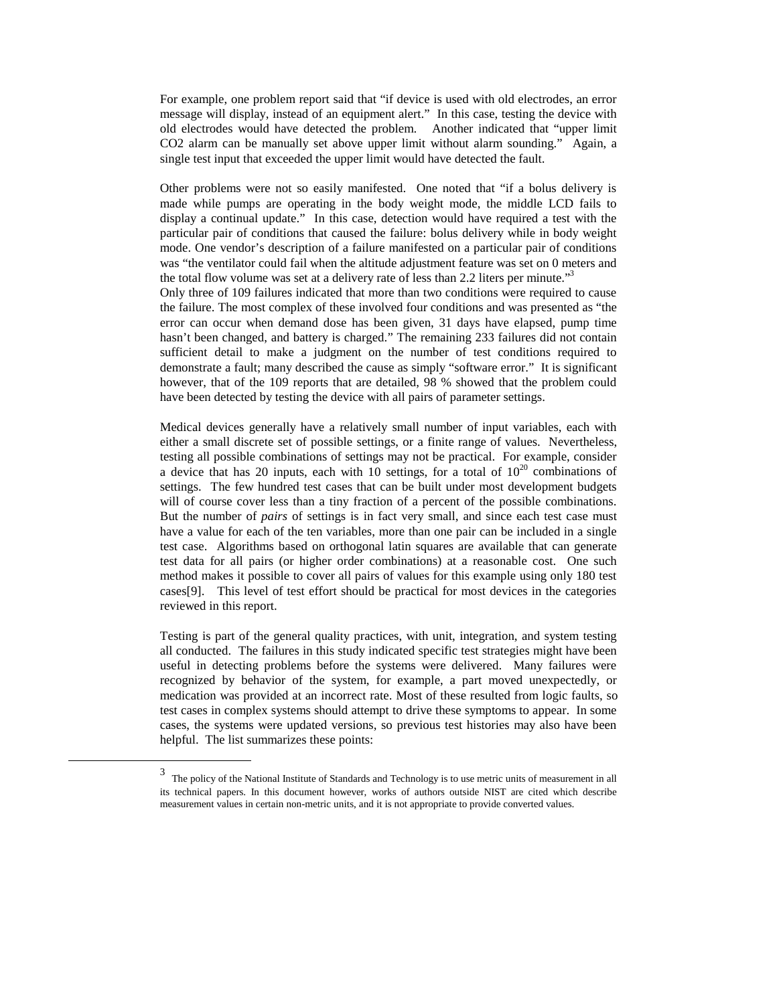old electrodes would have detected the problem. Another indicated that "upper limit For example, one problem report said that "if device is used with old electrodes, an error message will display, instead of an equipment alert." In this case, testing the device with CO2 alarm can be manually set above upper limit without alarm sounding." Again, a single test input that exceeded the upper limit would have detected the fault.

 made while pumps are operating in the body weight mode, the middle LCD fails to particular pair of conditions that caused the failure: bolus delivery while in body weight Other problems were not so easily manifested. One noted that "if a bolus delivery is display a continual update." In this case, detection would have required a test with the mode. One vendor's description of a failure manifested on a particular pair of conditions was "the ventilator could fail when the altitude adjustment feature was set on 0 meters and the total flow volume was set at a delivery rate of less than 2.2 liters per minute."<sup>3</sup>

 hasn't been changed, and battery is charged." The remaining 233 failures did not contain however, that of the 109 reports that are detailed, 98 % showed that the problem could Only three of 109 failures indicated that more than two conditions were required to cause the failure. The most complex of these involved four conditions and was presented as "the error can occur when demand dose has been given, 31 days have elapsed, pump time sufficient detail to make a judgment on the number of test conditions required to demonstrate a fault; many described the cause as simply "software error." It is significant have been detected by testing the device with all pairs of parameter settings.

 Medical devices generally have a relatively small number of input variables, each with either a small discrete set of possible settings, or a finite range of values. Nevertheless, settings. The few hundred test cases that can be built under most development budgets But the number of *pairs* of settings is in fact very small, and since each test case must test case. Algorithms based on orthogonal latin squares are available that can generate method makes it possible to cover all pairs of values for this example using only 180 test testing all possible combinations of settings may not be practical. For example, consider a device that has 20 inputs, each with 10 settings, for a total of  $10^{20}$  combinations of will of course cover less than a tiny fraction of a percent of the possible combinations. have a value for each of the ten variables, more than one pair can be included in a single test data for all pairs (or higher order combinations) at a reasonable cost. One such cases[9]. This level of test effort should be practical for most devices in the categories reviewed in this report.

 useful in detecting problems before the systems were delivered. Many failures were test cases in complex systems should attempt to drive these symptoms to appear. In some Testing is part of the general quality practices, with unit, integration, and system testing all conducted. The failures in this study indicated specific test strategies might have been recognized by behavior of the system, for example, a part moved unexpectedly, or medication was provided at an incorrect rate. Most of these resulted from logic faults, so cases, the systems were updated versions, so previous test histories may also have been helpful. The list summarizes these points:

 $\overline{a}$ 

 The policy of the National Institute of Standards and Technology is to use metric units of measurement in all 3 its technical papers. In this document however, works of authors outside NIST are cited which describe measurement values in certain non-metric units, and it is not appropriate to provide converted values.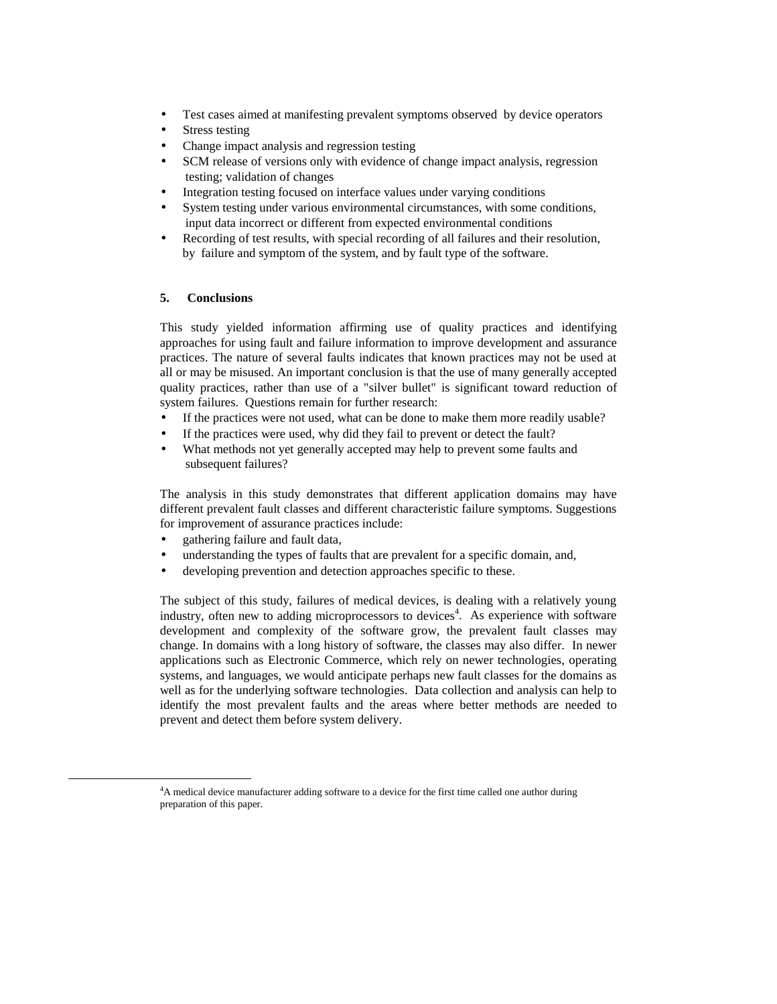- Test cases aimed at manifesting prevalent symptoms observed by device operators
- Stress testing
- Change impact analysis and regression testing
- SCM release of versions only with evidence of change impact analysis, regression testing; validation of changes
- Integration testing focused on interface values under varying conditions
- System testing under various environmental circumstances, with some conditions, input data incorrect or different from expected environmental conditions
- Recording of test results, with special recording of all failures and their resolution, by failure and symptom of the system, and by fault type of the software.

## **5. Conclusions**

 This study yielded information affirming use of quality practices and identifying approaches for using fault and failure information to improve development and assurance practices. The nature of several faults indicates that known practices may not be used at all or may be misused. An important conclusion is that the use of many generally accepted quality practices, rather than use of a "silver bullet" is significant toward reduction of system failures. Questions remain for further research:

- If the practices were not used, what can be done to make them more readily usable?
- If the practices were used, why did they fail to prevent or detect the fault?
- What methods not yet generally accepted may help to prevent some faults and subsequent failures?

 different prevalent fault classes and different characteristic failure symptoms. Suggestions The analysis in this study demonstrates that different application domains may have for improvement of assurance practices include:

• gathering failure and fault data,

 $\overline{a}$ 

- understanding the types of faults that are prevalent for a specific domain, and,
- developing prevention and detection approaches specific to these.

 The subject of this study, failures of medical devices, is dealing with a relatively young systems, and languages, we would anticipate perhaps new fault classes for the domains as well as for the underlying software technologies. Data collection and analysis can help to prevent and detect them before system delivery.<br>
<sup>4</sup>A medial davise manifesture edding settuary to a davise industry, often new to adding microprocessors to devices<sup>4</sup>. As experience with software development and complexity of the software grow, the prevalent fault classes may change. In domains with a long history of software, the classes may also differ. In newer applications such as Electronic Commerce, which rely on newer technologies, operating identify the most prevalent faults and the areas where better methods are needed to

<sup>&</sup>lt;sup>4</sup>A medical device manufacturer adding software to a device for the first time called one author during preparation of this paper.